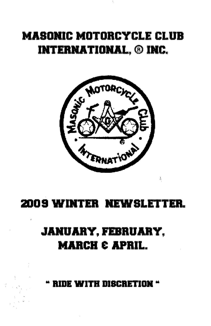# **MASONIC MOTORCYCLE CLUB INTERNATIONAL, ® INC.**



## 2009 WINTER NEWSLETTER.

# **JANUARY, FEBRUARY. MARCH & APRIL.**

**RIDE WITH DISCRETION**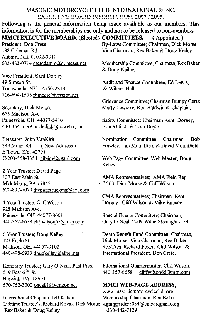#### MASONIC MOTORCYCLE CLUB INTERNATIONAL ® INC. EXECUTIVE BOARD INFORMATION. 2007 / 2009.

Following is the general information being made available to our members. This infonnation is for the memberships use only and not to be released to non-members. MMCI EXECUTIVE BOARD. (Elected) COMMITTEES. (Appointed)

President; Don Crete 188 Coleman Rd.<br>Auburn, NH, 03032-3310 603-483-0714 cretedamm@comcast.net

Vice President; Kent Dorney 49 Simson St. Tonawanda, NY. 14150-2313 716-694-1595 fltmedic@verizon.net

Secretary; Dick Morse. 653 Madison Ave. Painesville, OH. 44077-5410 440-354-5599 uncledick@ncweb.com

Treasurer; John VanKirk. 349 Miller Rd. (New Address) E'Town KY. 42701 C-203-558-3354 giblim42@aoLcom

2 Year Trustee; David Page 137 East Main St. Middleburg, PA 17842 570-837-7079 dwpagetrucking@aol.com

4 Year Trustee; CliffWi!son 925 Madison Ave. Painesville, OH. 44077-8601 440-357-6658 cliffWilson65@msn.com

6 Year Trustee; Doug Kelley 123 Eagle St. Madison, OH. 44057-3102 440-498-6933 dougkelley@allteLnet

Honorary Trustee; Gary O'Neal, Past Pres. 519 East  $6^{Th}$ . St Berwick, PA 18603 570-752-3002 oneall1@verizon.net

International Chaplain; Jeff Killian Lifetime Trustee's; Richard Kovak Dick Morse summerrider5054@embargmail.com Rex Baker & Doug Kelley 1-330-442-7129

By-Laws Committee; Chairman, Dick Morse, Vice Chairman, Rex Baker & Doug Kelley.

Membership Committee; Chairman, Rex Baker & Doug Kelley.

Audit and Finance Committee; Ed Lewis, & Wilmer Hall.

Grievance Committee; Chairman Bumpy Gertz Marty Lewicke, Ron Baldwin & Chaplain.

Safety Committee; Chairman Kent Dorney, Bruce Hinds & Tom Boyle.

Nomination Committee; Chairman, Bob Frawley, Ian Mountfield & David Mountfield.

Web Page Committee; Web Master, Doug Kelley,

AMA Representatives; AMA Field Rep. , # 760, Dick Morse & Cliff Wilson.

CMA Representatives; Chairman, Kent Dorney, Cliff Wilson & Mike Rapson.

Special Events Committee; Chairman, Gary O'Neal. 2009 Willie Steinlight # 34.

Death Benefit Fund Committee; Chairman, Dick Morse. Vice Chairman, Rex Baker, Sec/Tres. Richard Foxen. Cliff Wilson & 'International President, Don Crete.

International Quartermaster; Cliff Wilson. 440-357-6658 cliffWilson65@msn.com

MMCI WEB-PAGE ADDRESS;

www.masonicmotorcycleclub.org Membership Chairman; Rex Baker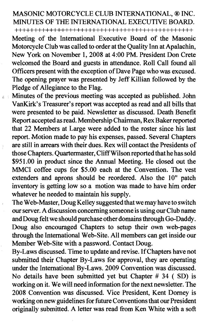### MASONIC MOTORCYCLE CLUB INTERNATIONAL, ® INC. MINUTES OF THE INTERNATIONAL EXECUTIVE BOARD. +++++11111+11111 11++++++++++++++++++++++++++++

Meeting of the International Executive Board of the Masonic Motorcycle Club was called to order at the Quality Inn at Apalachin, New York on November 1,2008 at 4:00 PM. President Don Crete welcomed the Board and guests in attendance. Roll Call found all Officers present with the exception of Dave Page who was excused. The opening prayer was presented by JeffKillian followed by the Pledge of Allegiance to the Flag.

Minutes of the previous meeting was accepted as published. John VanKirk's Treasurer's report was accepted as read and all bills that were presented to be paid. Newsletter as discussed. Death Benefit Report accepted as read. Membership Chairman, Rex Baker reported that 22 Members at Large were added to the roster since his last report. Motion made to pay his expenses, passed. Several Chapters are still in arrears with their dues. Rex will contact the Presidents of those Chapters. Quartermaster, Cliff Wilson reported that he has sold \$951.00 in product since the Annual Meeting. He closed out the MMCI coffee cups for \$5.00 each at the Convention. The vest extenders and aprons should be reordered. Also the 10" patch inventory is getting low so a motion was made to have him order whatever he needed to maintain his supply.

The Web-Master, Doug Kelley suggested that we may have to switch our server. A discussion concerning someone is using our Club name and Doug felt we should purchase other domains through Go-Daddy. Doug also encouraged Chapters to setup their own web-pages through the International Web-Site. All members can get inside our Member Web-Site with a password. Contact Doug.

By-Laws discussed. Time to update and revise. IfChapters have not submitted their Chapter By-Laws for approval, they are operating under the International By-Laws. 2009 Convention was discussed. No details have been submitted yet but Chapter # 34 ( SD) is working on it. We will need information for the next newsletter. The 2008 Convention was discussed. Vice President, Kent Dorney is working onnew guidelines for future Conventions that our President originally submitted. A letter was read from Ken White with a soft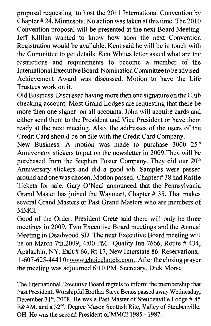proposal requesting to host the 2011 International Convention by Chapter # 24, Minnesota. No action was taken at this time. The 2010 Convention proposal will be presented at the next Board Meeting. Jeff Killian wanted to know how soon the next Convention Registration would be available. Kent said he will be in touch with the Committee to get details. Ken Whites letter asked what are the restrictions and requirements to become a member of the International Executive Board. Nomination Committee to be advised. Achievement Award was discussed. Motion to have the Life Trustees work on it.

Old Business. Discussed having more then one signature on the Club checking account. Most Grand Lodges are requesting that there be more then one signer on all accounts. John will acquire cards and either send them to the President and Vice President or have them ready at the next meeting. Also, the addresses of the users of the Credit Card should be on file with the Credit Card Company.

New Business. A motion was made to purchase  $3000\,25<sup>th</sup>$ Anniversary stickers to put on the newsletter in 2009.They will be purchased from the Stephen Foster Company. They did our 20<sup>th</sup> Anniversary stickers and did a good job. Samples were passed around and one was chosen. Motion passed. Chapter # 38 had Raffle Tickets for sale. Gary O'Neal announced that the Pennsylvania Grand Master has joined the Waymart, Chapter # 35. That makes several Grand Masters or Past Grand Masters who are members of MMCI.

Good of the Order. President Crete said there will only be three meetings in 2009, Two Executive Board meetings and the Annual Meeting in Deadwood SD. The next Executive Board meeting will be on March 7th,2009, 4:00 PM. Quality Inn 7666, Route # 434, Apalachin, NY. Exit # 66, Rt 17, New Interstate 86. Reservations, 1-607 -625-4441 Or www.choicehotels.com.. After the closing prayer the meeting was adjourned 6:10 PM. Secretary, Dick Morse

The International Executive Board regrets to inform the membership that Past President, Worshipful Brother Steve Benos passed away Wednesday, December  $31<sup>st</sup>$ , 2008. He was a Past Master of Steubenville Lodge # 45 F&AM. and a 32<sup>nd</sup>. Degree Mason Scottish Rite, Valley of Steubenville, OH. He was the second President of MMCI 1985 - 1987.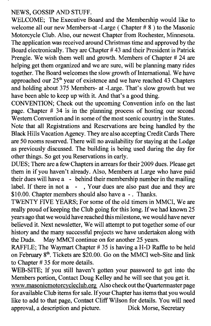### NEWS, GOSSIP AND STUFF.

WELCOME; The Executive Board and the Membership would like to welcome all our new Members-at -Large ( Chapter # 8 ) to the Masonic Motorcycle Club. Also, our newest Chapter from Rochester, Minnesota. The application was received around Christmas time and approved by the Board electronically. They are Chapter # 43 and their President is Patrick Prengle. We wish them well and growth. Members of Chapter # 24 are helping get them organized and we are sure, will be planning many rides together. The Board welcomes the slow growth of International. We have approached our 25<sup>th</sup> year of existence and we have reached 43 Chapters and holding about 375 Members- at -Large. That's slow growth but we have been able to keep up with it. And that's a good thing.

CONVENTION; Check out the upcoming Convention info on the last page. Chapter # 34 is in the planning process of hosting our second Western Convention and in some of the most scenic country in the States. Note that all Registrations and Reservations are being handled by the Black Hills Vacation Agency. They are also accepting Credit Cards There are 50 rooms reserved. There will no availability for staying at the Lodge as previously discussed. The building is being used during the day for other things. So get you Reservations in early.

DUES; There are a few Chapters in arrears for their 2009 dues. Please get them in if you haven't already. Also, Members at Large who have paid their dues will have a - behind their membership number in the mailing label. If there in not a - , Your dues are also past due and they are \$10.00. Chapter members should also have a -. Thanks.

TWENTY FIVE YEARS; For some of the old timers in MMCI, We are really proud of keeping the Club going for this long. If we had known 25 years ago that we would have reached this milestone, we would have never believed it. Next newsletter, We will attempt to put together some of our history and the many successful projects we have undertaken along with the Duds. May MMCI continue on for another 25 years.

RAFFLE; The Waymart Chapter # 35 is having a H-D Raffie to be held on February  $8<sup>th</sup>$ . Tickets are \$20.00. Go on the MMCI web-Site and link to Chapter # 35 for more details.

WEB-SITE; If you still haven't gotten your password to get into the Members portion, Contact Doug Kelley and he will see that you get it www.masonicmotorcycleclub.org Also check out the Quartermaster page for available Club items for sale. If your Chapter has items that you would

like to add to that page, Contact Cliff Wilson for details. You will need approval, a description and picture. Dick Morse, Secretary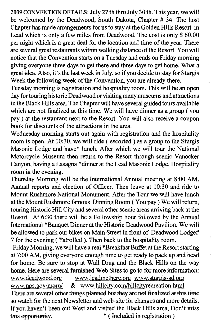2009 CONVENTION DETAILS: July 27 th thru July 30 th. This year, we will be welcomed by the Deadwood, South Dakota, Chapter # 34. The host Chapter has made arrangements for us to stay at the Golden Hills Resort in Lead which is only a few miles from Deadwood. The cost is only \$ 60.00 per night which is a great deal for the location and time of the year. There are several great restaurants within walking distance ofthe Resort. You will notice that the Convention starts on a Tuesday and ends on Friday morning giving everyone three days to get there and three days to get home. What a great idea. Also, it's the last week in July, so if you decide to stay for Sturgis Week the following week of the Convention, you are already there.

Tuesday morning is registration and hospitality room. This will be an open day for touring historic Deadwood or visiting many museums and attractions in the Black Hills area. The Chapter will have several guided tours available which are not finalized at this time. We will have dinner as a group (you pay) at the restaurant next to the Resort. You will also receive a coupon book for discounts of the attractions in the area.

Wednesday morning starts out again with registration and the hospitality room is open. At 10:30, we wiII ride ( escorted) as a group to the Sturgis Masonic Lodge and have\* lunch. After which we will tour the National Motorcycle Museum then return to the Resort through scenic Vanocker Canyon, having a Lasagna \*dinner at the Lead Masonic Lodge. Hospitality room in the evening.

Thursday Morning will be the International Annual meeting at 8:00 AM. Annual reports and election of Officer. Then leave at 10:30 and ride to Mount Rushmore National Monument. After the Tour we will have lunch at the Mount Rushmore famous Dinning Room.( You pay) We will return, touring Historic Hill City and several other scenic areas arriving back at the Resort. At 6:30 there will be a Fellowship hour followed by the Annual International \*Banquet Dinner at the Historic Deadwood Pavilion. We will be allowed to park our bikes on Main Street in front of Deadwood Lodge# 7 for the evening (Patrolled ). Then back to the hospitality room.

Friday Morning, we will have a real \*Breakfast Buffet at the Resort starting at 7:00 AM, giving everyone enough time to get ready to pack up and head for home. Be sure to stop at Wall Drug and the Black Hills on the way home. Here are several furnished Web Sites to go to for more information: www.deadwood.org www.leadmethere.org www.sturgis-sd.org www.nps.gov/moru/ & www.hillcity.com/hillcityrecreation.html There are several other things planned but they are not finalized at this time so watch for the next Newsletter and web-site for changes and more details. If you haven't been out West and visited the Black Hills area, Don't miss this opportunity.  $*$  (Included in registration)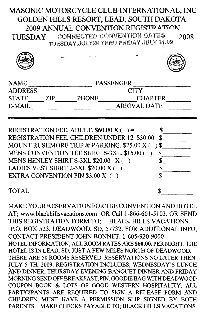## MASONIC MOTORCYCLE CLUB INTERNATIONAL, INC GOLDEN HILLS RESORT. LEAD. SOUTH DAKOTA. 2009 ANNUAL CONVENTION REGISTRATION

**CORRECTED CONVENTION DATES.** 2008 **TUESDAY** TUESDAY.JULY28 THRU FRIDAY JULY 31.09

| <b>NAME</b>    | <b>PASSENGER</b> |                     |                |  |
|----------------|------------------|---------------------|----------------|--|
| <b>ADDRESS</b> |                  |                     | <b>CITY</b>    |  |
| <b>STATE</b>   | ZIP              | <b>PHONE</b>        | <b>CHAPTER</b> |  |
| E-MAIL         |                  | <b>ARRIVAL DATE</b> |                |  |
|                |                  |                     |                |  |

| REGISTRATION FEE, ADULT. $$60.00 \text{ X}$ ( ) = |   |
|---------------------------------------------------|---|
| REGISTRATION FEE, CHILDREN UNDER 12 \$30.00       | S |
| MOUNT RUSHMORE TRIP & PARKING. \$25.00 X ()\$     |   |
| MENS CONVENTION TEE SHIRT S-3XL. \$15.00 ()       |   |
| MENS HENLEY SHIRT S-3XL \$20.00 X ()              |   |
| LADIES VEST SHIRT 2-3XL \$20.00 X ()              |   |
| EXTRA CONVENTION PIN \$3.00 X ( )                 |   |
|                                                   |   |
| <b>TOTAL</b>                                      |   |

MAKE YOUR RESERVATION FOR THE CONVENTION AND HOTEL AT; www.blackhillsvacations.com OR Call 1-866-601-5103. OR SEND THIS REGISTRATION FORM TO: BLACK HILLS VACATIONS. P.O. BOX 523, DEADWOOD, SD, 57732, FOR ADDITIONAL INFO. CONTACT PRESIDENT JOHN BONNET, 1-605-920-9000 HOTEL INFORMATION; ALL ROOM RATES ARE \$60.00. PER NIGHT. THE HOTEL IS IN LEAD, SD, JUST A FEW MILES NORTH OF DEADWOOD. THERE ARE 50 ROOMS RESERVED. RESERVATIONS NO LATER THEN JULY 5 TH, 2009. REGISTRATION INCLUDES; WEDNESDAY'S LUNCH AND DINNER, THURSDAY EVENING BANOUET DINNER AND FRIDAY MORNING SEND OFF BREAKFAST, PIN, GOODIE BAG WITH DEADWOOD COUPON BOOK & LOTS OF GOOD WESTERN HOSPITALITY. ALL PARTICIPANTS ARE REQUIRED TO SIGN A RELEASE FORM AND CHILDREN MUST HAVE A PERMISSION SLIP SIGNED BY BOTH PARENTS. MAKE CHECKS PAYABLE TO; BLACK HILLS VACATIONS.